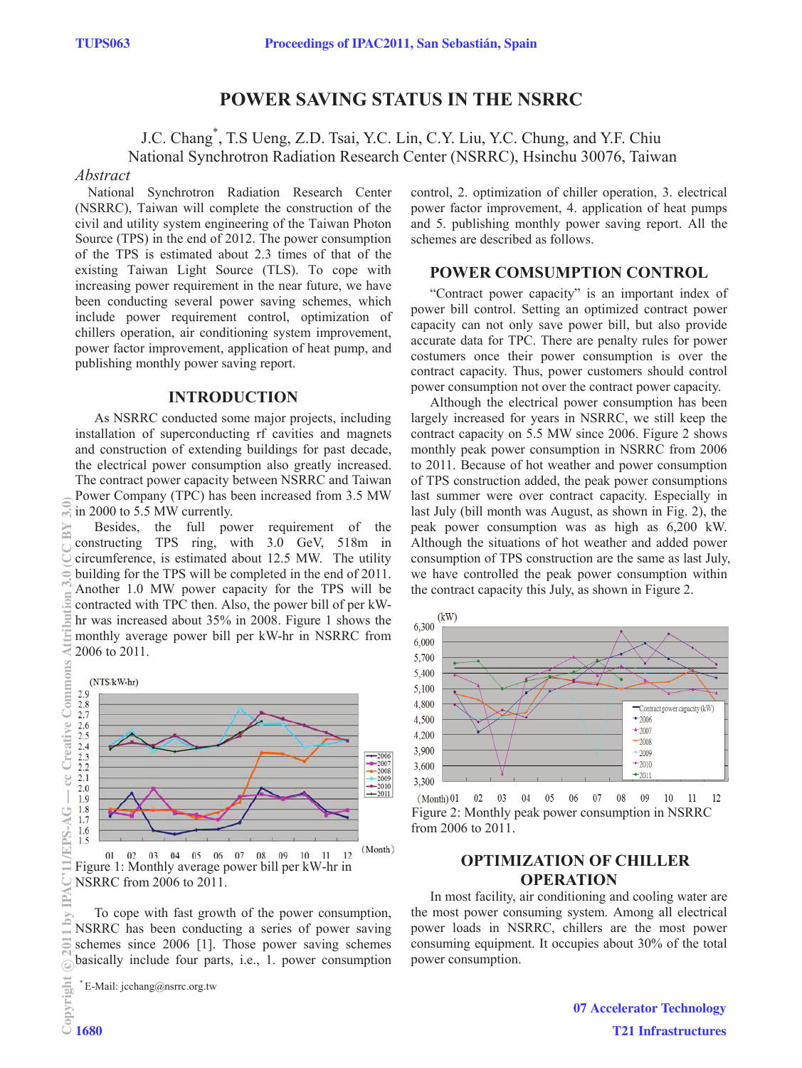# **POWER SAVING STATUS IN THE NSRRC**

J.C. Chang\* , T.S Ueng, Z.D. Tsai, Y.C. Lin, C.Y. Liu, Y.C. Chung, and Y.F. Chiu National Synchrotron Radiation Research Center (NSRRC), Hsinchu 30076, Taiwan

#### *Abstract*

National Synchrotron Radiation Research Center (NSRRC), Taiwan will complete the construction of the civil and utility system engineering of the Taiwan Photon Source (TPS) in the end of 2012. The power consumption of the TPS is estimated about 2.3 times of that of the existing Taiwan Light Source (TLS). To cope with increasing power requirement in the near future, we have been conducting several power saving schemes, which include power requirement control, optimization of chillers operation, air conditioning system improvement, power factor improvement, application of heat pump, and publishing monthly power saving report.

## **INTRODUCTION**

As NSRRC conducted some major projects, including installation of superconducting rf cavities and magnets and construction of extending buildings for past decade, the electrical power consumption also greatly increased. The contract power capacity between NSRRC and Taiwan Power Company (TPC) has been increased from 3.5 MW in 2000 to 5.5 MW currently.

Besides, the full power requirement of the constructing TPS ring, with 3.0 GeV, 518m in circumference, is estimated about 12.5 MW. The utility building for the TPS will be completed in the end of 2011. Another 1.0 MW power capacity for the TPS will be contracted with TPC then. Also, the power bill of per kWhr was increased about 35% in 2008. Figure 1 shows the monthly average power bill per kW-hr in NSRRC from 2006 to 2011.



02 03 04 05 06 07 08 09 10 11 12 Figure 1: Monthly average power bill per kW-hr in NSRRC from 2006 to 2011.

To cope with fast growth of the power consumption, NSRRC has been conducting a series of power saving schemes since 2006 [1]. Those power saving schemes basically include four parts, i.e., 1. power consumption

\* E-Mail: jcchang@nsrrc.org.tw

control, 2. optimization of chiller operation, 3. electrical power factor improvement, 4. application of heat pumps and 5. publishing monthly power saving report. All the schemes are described as follows.

#### **POWER COMSUMPTION CONTROL**

"Contract power capacity" is an important index of power bill control. Setting an optimized contract power capacity can not only save power bill, but also provide accurate data for TPC. There are penalty rules for power costumers once their power consumption is over the contract capacity. Thus, power customers should control power consumption not over the contract power capacity.

Although the electrical power consumption has been largely increased for years in NSRRC, we still keep the contract capacity on 5.5 MW since 2006. Figure 2 shows monthly peak power consumption in NSRRC from 2006 to 2011. Because of hot weather and power consumption of TPS construction added, the peak power consumptions last summer were over contract capacity. Especially in last July (bill month was August, as shown in Fig. 2), the peak power consumption was as high as 6,200 kW. Although the situations of hot weather and added power consumption of TPS construction are the same as last July, we have controlled the peak power consumption within the contract capacity this July, as shown in Figure 2.



 $(Month) 01 02$ 03 04 05 06 07 08 09  $10 \t 11$ Figure 2: Monthly peak power consumption in NSRRC from 2006 to 2011.

## **OPTIMIZATION OF CHILLER OPERATION**

In most facility, air conditioning and cooling water are the most power consuming system. Among all electrical power loads in NSRRC, chillers are the most power consuming equipment. It occupies about 30% of the total power consumption.

cc Creative Commons

 $\overline{\phantom{a}}$ 

**TEPS-AG**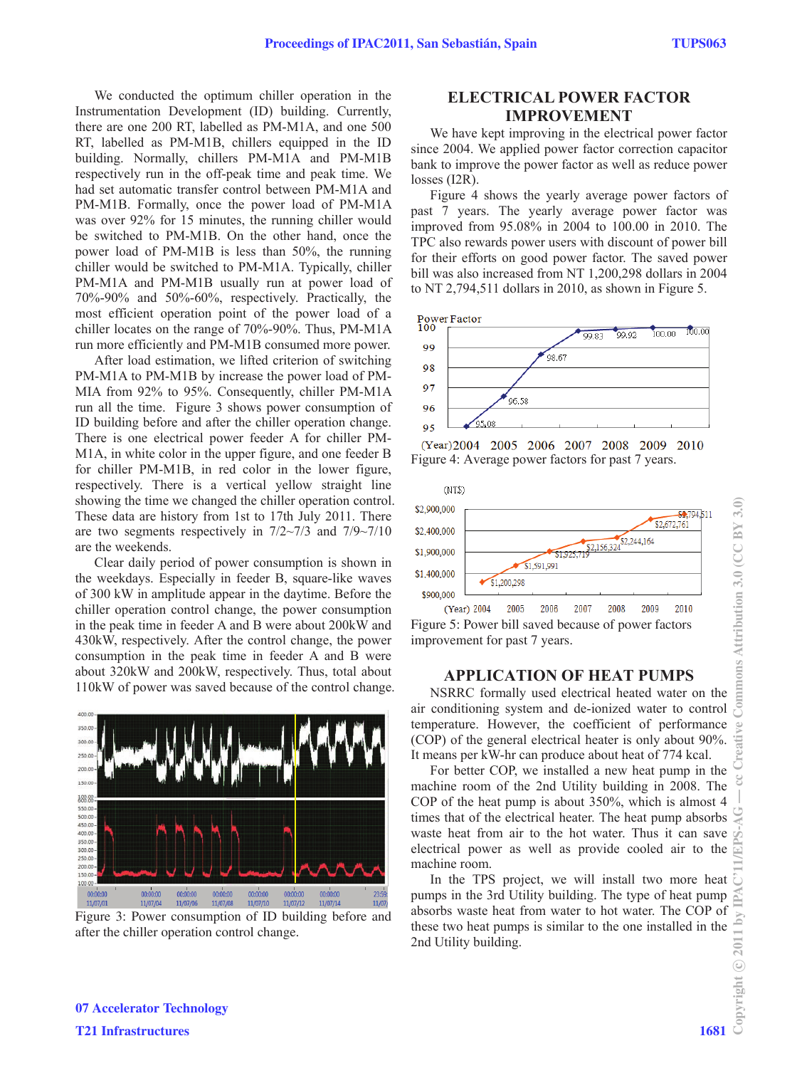We conducted the optimum chiller operation in the Instrumentation Development (ID) building. Currently, there are one 200 RT, labelled as PM-M1A, and one 500 RT, labelled as PM-M1B, chillers equipped in the ID building. Normally, chillers PM-M1A and PM-M1B respectively run in the off-peak time and peak time. We had set automatic transfer control between PM-M1A and PM-M1B. Formally, once the power load of PM-M1A was over 92% for 15 minutes, the running chiller would be switched to PM-M1B. On the other hand, once the power load of PM-M1B is less than 50%, the running chiller would be switched to PM-M1A. Typically, chiller PM-M1A and PM-M1B usually run at power load of 70%-90% and 50%-60%, respectively. Practically, the most efficient operation point of the power load of a chiller locates on the range of 70%-90%. Thus, PM-M1A run more efficiently and PM-M1B consumed more power.

After load estimation, we lifted criterion of switching PM-M1A to PM-M1B by increase the power load of PM-MIA from 92% to 95%. Consequently, chiller PM-M1A run all the time. Figure 3 shows power consumption of ID building before and after the chiller operation change. There is one electrical power feeder A for chiller PM-M1A, in white color in the upper figure, and one feeder B for chiller PM-M1B, in red color in the lower figure, respectively. There is a vertical yellow straight line showing the time we changed the chiller operation control. These data are history from 1st to 17th July 2011. There are two segments respectively in  $7/2 \sim 7/3$  and  $7/9 \sim 7/10$ are the weekends.

Clear daily period of power consumption is shown in the weekdays. Especially in feeder B, square-like waves of 300 kW in amplitude appear in the daytime. Before the chiller operation control change, the power consumption in the peak time in feeder A and B were about 200kW and 430kW, respectively. After the control change, the power consumption in the peak time in feeder A and B were about 320kW and 200kW, respectively. Thus, total about 110kW of power was saved because of the control change.



Figure 3: Power consumption of ID building before and after the chiller operation control change.

## **ELECTRICAL POWER FACTOR IMPROVEMENT**

We have kept improving in the electrical power factor since 2004. We applied power factor correction capacitor bank to improve the power factor as well as reduce power losses (I2R).

Figure 4 shows the yearly average power factors of past 7 years. The yearly average power factor was improved from 95.08% in 2004 to 100.00 in 2010. The TPC also rewards power users with discount of power bill for their efforts on good power factor. The saved power bill was also increased from NT 1,200,298 dollars in 2004 to NT 2,794,511 dollars in 2010, as shown in Figure 5.







Figure 5: Power bill saved because of power factors improvement for past 7 years.

#### **APPLICATION OF HEAT PUMPS**

NSRRC formally used electrical heated water on the air conditioning system and de-ionized water to control temperature. However, the coefficient of performance (COP) of the general electrical heater is only about 90%. It means per kW-hr can produce about heat of 774 kcal.

For better COP, we installed a new heat pump in the machine room of the 2nd Utility building in 2008. The COP of the heat pump is about 350%, which is almost 4 times that of the electrical heater. The heat pump absorbs waste heat from air to the hot water. Thus it can save electrical power as well as provide cooled air to the machine room.

In the TPS project, we will install two more heat pumps in the 3rd Utility building. The type of heat pump absorbs waste heat from water to hot water. The COP of these two heat pumps is similar to the one installed in the 2nd Utility building.